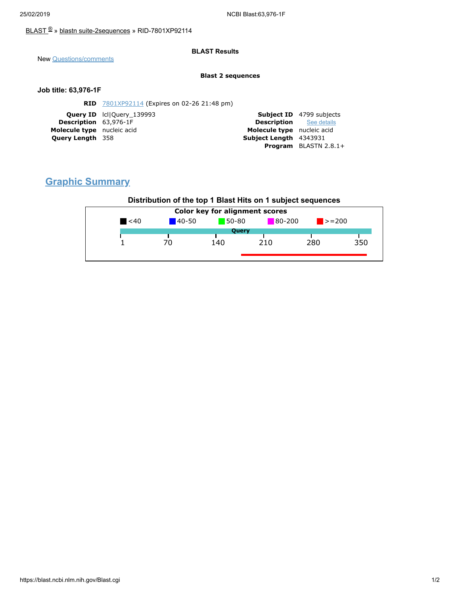### [BLAST](https://blast.ncbi.nlm.nih.gov/Blast.cgi) ® » blastn [suite-2sequences](https://blast.ncbi.nlm.nih.gov/Blast.cgi?PAGE=MegaBlast&PROGRAM=blastn&PAGE_TYPE=BlastSearch&BLAST_SPEC=blast2seq) » RID-7801XP92114

### **BLAST Results**

New [Questions/comments](https://support.nlm.nih.gov/knowledgebase/category/?id=CAT-01239)

#### **Blast 2 sequences**

### **Job title: 63,976-1F**

|                                                                                                                                                                                 | <b>Subject ID</b> 4799 subjects |
|---------------------------------------------------------------------------------------------------------------------------------------------------------------------------------|---------------------------------|
| <b>Description</b> See details                                                                                                                                                  |                                 |
| Molecule type nucleic acid                                                                                                                                                      |                                 |
| Subject Length 4343931                                                                                                                                                          |                                 |
|                                                                                                                                                                                 | <b>Program</b> BLASTN $2.8.1+$  |
| <b>RID</b> 7801XP92114 (Expires on 02-26 21:48 pm)<br><b>Query ID</b> IcllQuery 139993<br><b>Description</b> 63,976-1F<br>Molecule type nucleic acid<br><b>Query Length 358</b> |                                 |

# **Graphic Summary**

## **Distribution of the top 1 Blast Hits on 1 subject sequences**

| <b>Color key for alignment scores</b> |            |         |            |                             |     |  |
|---------------------------------------|------------|---------|------------|-----------------------------|-----|--|
| $\leq 40$                             | $140 - 50$ | $50-80$ | $80 - 200$ | $\blacktriangleright$ = 200 |     |  |
| <b>Query</b>                          |            |         |            |                             |     |  |
|                                       | 70         | 140     | 210        | 280                         | 350 |  |
|                                       |            |         |            |                             |     |  |